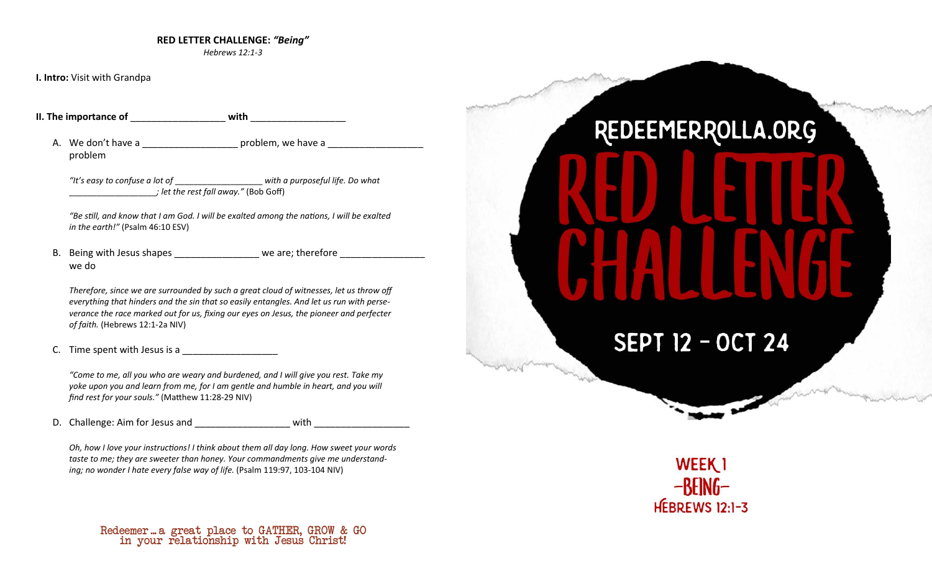### **RED LETTER CHALLENGE:** *"Being"*

*Hebrews 12:1-3* 

**I. Intro:** Visit with Grandpa

**II. The importance of** \_\_\_\_\_\_\_\_\_\_\_\_\_\_\_\_\_\_ **with** \_\_\_\_\_\_\_\_\_\_\_\_\_\_\_\_\_\_

A. We don't have a \_\_\_\_\_\_\_\_\_\_\_\_\_\_\_\_\_\_\_\_\_\_ problem, we have a \_\_\_\_\_\_\_\_\_\_\_\_\_\_\_\_\_\_\_ problem

*"It's easy to confuse a lot of* \_\_\_\_\_\_\_\_\_\_\_\_\_\_\_\_\_\_\_ *with a purposeful life. Do what*  \_\_\_\_\_\_\_\_\_\_\_\_\_\_\_\_\_\_\_*; let the rest fall away."* (Bob Goff)

*"Be sƟll, and know that I am God. I will be exalted among the naƟons, I will be exalted in the earth!"* (Psalm 46:10 ESV)

B. Being with Jesus shapes examples are we are; therefore we do

*Therefore, since we are surrounded by such a great cloud of witnesses, let us throw off everything that hinders and the sin that so easily entangles. And let us run with perseverance the race marked out for us, fixing our eyes on Jesus, the pioneer and perfecter of faith.* (Hebrews 12:1-2a NIV)

*"Come to me, all you who are weary and burdened, and I will give you rest. Take my yoke upon you and learn from me, for I am gentle and humble in heart, and you will find rest for your souls."* (Matthew 11:28-29 NIV)

D. Challenge: Aim for Jesus and \_\_\_\_\_\_\_\_\_\_\_\_\_\_\_\_\_\_ with \_\_\_\_\_\_\_\_\_\_\_\_\_\_\_\_\_\_

*Oh, how I love your instructions! I think about them all day long. How sweet your words taste to me; they are sweeter than honey. Your commandments give me understanding; no wonder I hate every false way of life.* (Psalm 119:97, 103-104 NIV)

### in your relationship with Jesus Christ! Redeemer ... a great place to GATHER, GROW & GO

# REDEEMERROLLA.ORG

# **SEPT 12 - OCT 24**



C. Time spent with Jesus is a